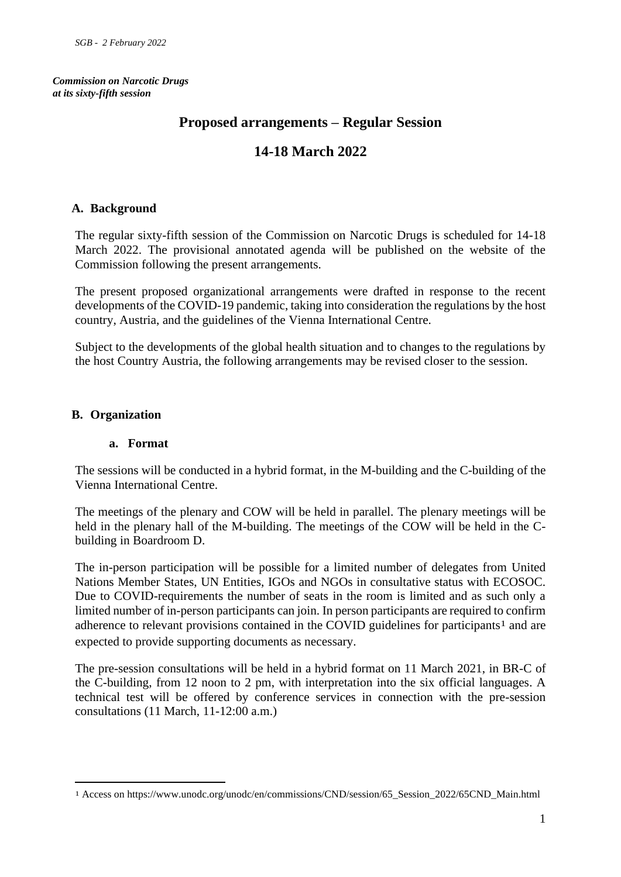*Commission on Narcotic Drugs at its sixty-fifth session*

# **Proposed arrangements – Regular Session**

# **14-18 March 2022**

## **A. Background**

The regular sixty-fifth session of the Commission on Narcotic Drugs is scheduled for 14-18 March 2022. The provisional annotated agenda will be published on the website of the Commission following the present arrangements.

The present proposed organizational arrangements were drafted in response to the recent developments of the COVID-19 pandemic, taking into consideration the regulations by the host country, Austria, and the guidelines of the Vienna International Centre.

Subject to the developments of the global health situation and to changes to the regulations by the host Country Austria, the following arrangements may be revised closer to the session.

## **B. Organization**

#### **a. Format**

The sessions will be conducted in a hybrid format, in the M-building and the C-building of the Vienna International Centre.

The meetings of the plenary and COW will be held in parallel. The plenary meetings will be held in the plenary hall of the M-building. The meetings of the COW will be held in the Cbuilding in Boardroom D.

The in-person participation will be possible for a limited number of delegates from United Nations Member States, UN Entities, IGOs and NGOs in consultative status with ECOSOC. Due to COVID-requirements the number of seats in the room is limited and as such only a limited number of in-person participants can join. In person participants are required to confirm adherence to relevant provisions contained in the COVID guidelines for participants<sup>1</sup> and are expected to provide supporting documents as necessary.

The pre-session consultations will be held in a hybrid format on 11 March 2021, in BR-C of the C-building, from 12 noon to 2 pm, with interpretation into the six official languages. A technical test will be offered by conference services in connection with the pre-session consultations (11 March, 11-12:00 a.m.)

<sup>1</sup> Access on https://www.unodc.org/unodc/en/commissions/CND/session/65\_Session\_2022/65CND\_Main.html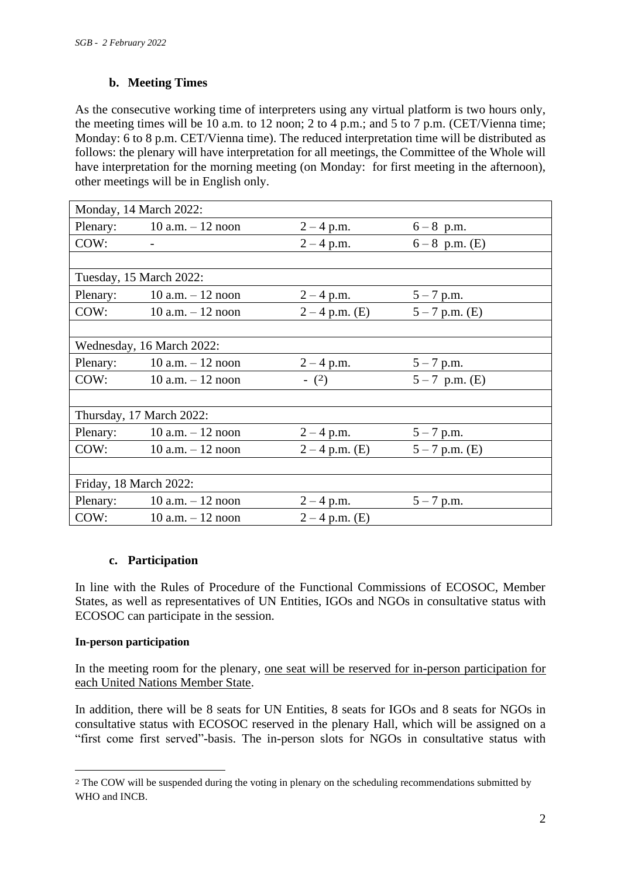# **b. Meeting Times**

As the consecutive working time of interpreters using any virtual platform is two hours only, the meeting times will be 10 a.m. to 12 noon; 2 to 4 p.m.; and 5 to 7 p.m. (CET/Vienna time; Monday: 6 to 8 p.m. CET/Vienna time). The reduced interpretation time will be distributed as follows: the plenary will have interpretation for all meetings, the Committee of the Whole will have interpretation for the morning meeting (on Monday: for first meeting in the afternoon), other meetings will be in English only.

| Monday, 14 March 2022:    |                              |                  |                  |
|---------------------------|------------------------------|------------------|------------------|
|                           | Plenary: $10 a.m. - 12 noon$ | $2 - 4$ p.m.     | $6 - 8$ p.m.     |
| COW:                      |                              | $2 - 4$ p.m.     | $6-8$ p.m. (E)   |
|                           |                              |                  |                  |
| Tuesday, 15 March 2022:   |                              |                  |                  |
| Plenary:                  | $10$ a.m. $-12$ noon         | $2 - 4$ p.m.     | $5 - 7$ p.m.     |
| COW:                      | $10$ a.m. $-12$ noon         | $2 - 4$ p.m. (E) | $5 - 7$ p.m. (E) |
|                           |                              |                  |                  |
| Wednesday, 16 March 2022: |                              |                  |                  |
| Plenary:                  | $10$ a.m. $-12$ noon         | $2 - 4$ p.m.     | $5 - 7$ p.m.     |
| COW:                      | $10$ a.m. $-12$ noon         | $- (2)$          | $5-7$ p.m. (E)   |
|                           |                              |                  |                  |
| Thursday, 17 March 2022:  |                              |                  |                  |
| Plenary:                  | $10$ a.m. $-12$ noon         | $2 - 4$ p.m.     | $5 - 7$ p.m.     |
| COW:                      | $10$ a.m. $-12$ noon         | $2 - 4$ p.m. (E) | $5 - 7$ p.m. (E) |
|                           |                              |                  |                  |
| Friday, 18 March 2022:    |                              |                  |                  |
| Plenary:                  | $10$ a.m. $-12$ noon         | $2 - 4$ p.m.     | $5 - 7$ p.m.     |
| COW:                      | $10$ a.m. $-12$ noon         | $2 - 4$ p.m. (E) |                  |

## **c. Participation**

In line with the Rules of Procedure of the Functional Commissions of ECOSOC, Member States, as well as representatives of UN Entities, IGOs and NGOs in consultative status with ECOSOC can participate in the session.

## **In-person participation**

In the meeting room for the plenary, one seat will be reserved for in-person participation for each United Nations Member State.

In addition, there will be 8 seats for UN Entities, 8 seats for IGOs and 8 seats for NGOs in consultative status with ECOSOC reserved in the plenary Hall, which will be assigned on a "first come first served"-basis. The in-person slots for NGOs in consultative status with

<sup>2</sup> The COW will be suspended during the voting in plenary on the scheduling recommendations submitted by WHO and INCB.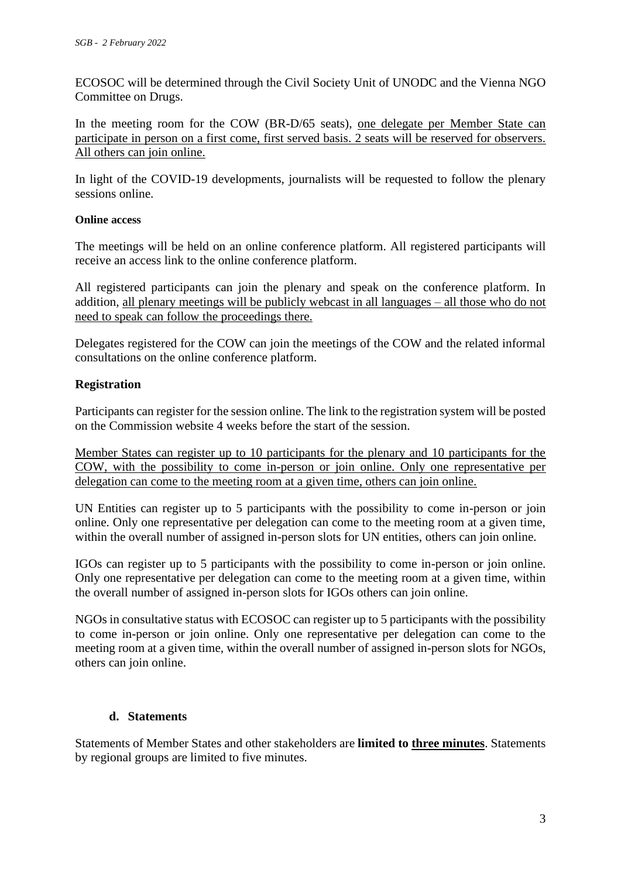ECOSOC will be determined through the Civil Society Unit of UNODC and the Vienna NGO Committee on Drugs.

In the meeting room for the COW (BR-D/65 seats), one delegate per Member State can participate in person on a first come, first served basis. 2 seats will be reserved for observers. All others can join online.

In light of the COVID-19 developments, journalists will be requested to follow the plenary sessions online.

## **Online access**

The meetings will be held on an online conference platform. All registered participants will receive an access link to the online conference platform.

All registered participants can join the plenary and speak on the conference platform. In addition, all plenary meetings will be publicly webcast in all languages – all those who do not need to speak can follow the proceedings there.

Delegates registered for the COW can join the meetings of the COW and the related informal consultations on the online conference platform.

## **Registration**

Participants can register for the session online. The link to the registration system will be posted on the Commission website 4 weeks before the start of the session.

Member States can register up to 10 participants for the plenary and 10 participants for the COW, with the possibility to come in-person or join online. Only one representative per delegation can come to the meeting room at a given time, others can join online.

UN Entities can register up to 5 participants with the possibility to come in-person or join online. Only one representative per delegation can come to the meeting room at a given time, within the overall number of assigned in-person slots for UN entities, others can join online.

IGOs can register up to 5 participants with the possibility to come in-person or join online. Only one representative per delegation can come to the meeting room at a given time, within the overall number of assigned in-person slots for IGOs others can join online.

NGOs in consultative status with ECOSOC can register up to 5 participants with the possibility to come in-person or join online. Only one representative per delegation can come to the meeting room at a given time, within the overall number of assigned in-person slots for NGOs, others can join online.

## **d. Statements**

Statements of Member States and other stakeholders are **limited to three minutes**. Statements by regional groups are limited to five minutes.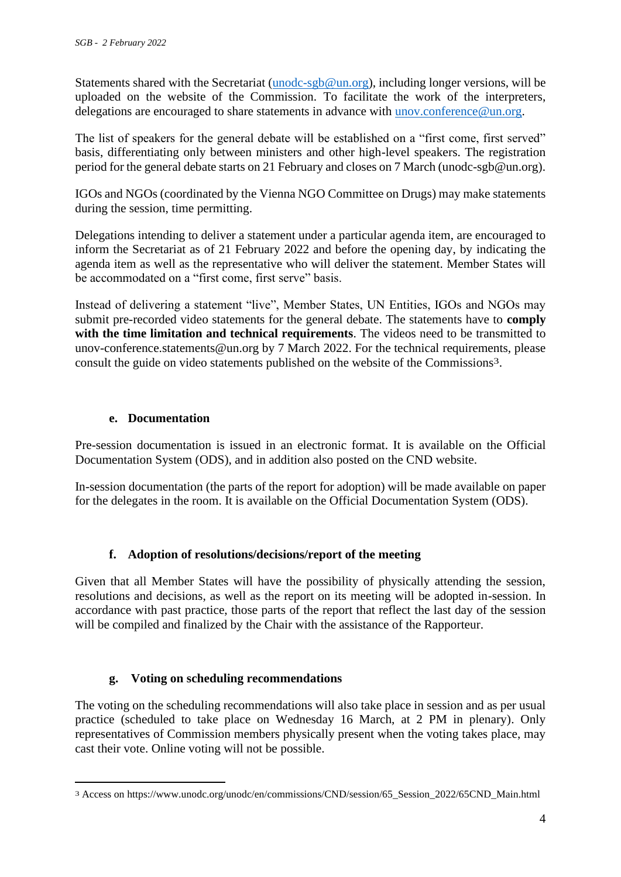Statements shared with the Secretariat [\(unodc-sgb@un.org\)](mailto:unodc-sgb@un.org), including longer versions, will be uploaded on the website of the Commission. To facilitate the work of the interpreters, delegations are encouraged to share statements in advance with [unov.conference@un.org.](mailto:unov.conference@un.org)

The list of speakers for the general debate will be established on a "first come, first served" basis, differentiating only between ministers and other high-level speakers. The registration period for the general debate starts on 21 February and closes on 7 March (unodc-sgb@un.org).

IGOs and NGOs (coordinated by the Vienna NGO Committee on Drugs) may make statements during the session, time permitting.

Delegations intending to deliver a statement under a particular agenda item, are encouraged to inform the Secretariat as of 21 February 2022 and before the opening day, by indicating the agenda item as well as the representative who will deliver the statement. Member States will be accommodated on a "first come, first serve" basis.

Instead of delivering a statement "live", Member States, UN Entities, IGOs and NGOs may submit pre-recorded video statements for the general debate. The statements have to **comply with the time limitation and technical requirements**. The videos need to be transmitted to unov-conference.statements@un.org by 7 March 2022. For the technical requirements, please consult the guide on video statements published on the website of the Commissions3.

# **e. Documentation**

Pre-session documentation is issued in an electronic format. It is available on the Official Documentation System (ODS), and in addition also posted on the CND website.

In-session documentation (the parts of the report for adoption) will be made available on paper for the delegates in the room. It is available on the Official Documentation System (ODS).

# **f. Adoption of resolutions/decisions/report of the meeting**

Given that all Member States will have the possibility of physically attending the session, resolutions and decisions, as well as the report on its meeting will be adopted in-session. In accordance with past practice, those parts of the report that reflect the last day of the session will be compiled and finalized by the Chair with the assistance of the Rapporteur.

# **g. Voting on scheduling recommendations**

The voting on the scheduling recommendations will also take place in session and as per usual practice (scheduled to take place on Wednesday 16 March, at 2 PM in plenary). Only representatives of Commission members physically present when the voting takes place, may cast their vote. Online voting will not be possible.

<sup>3</sup> Access on https://www.unodc.org/unodc/en/commissions/CND/session/65\_Session\_2022/65CND\_Main.html